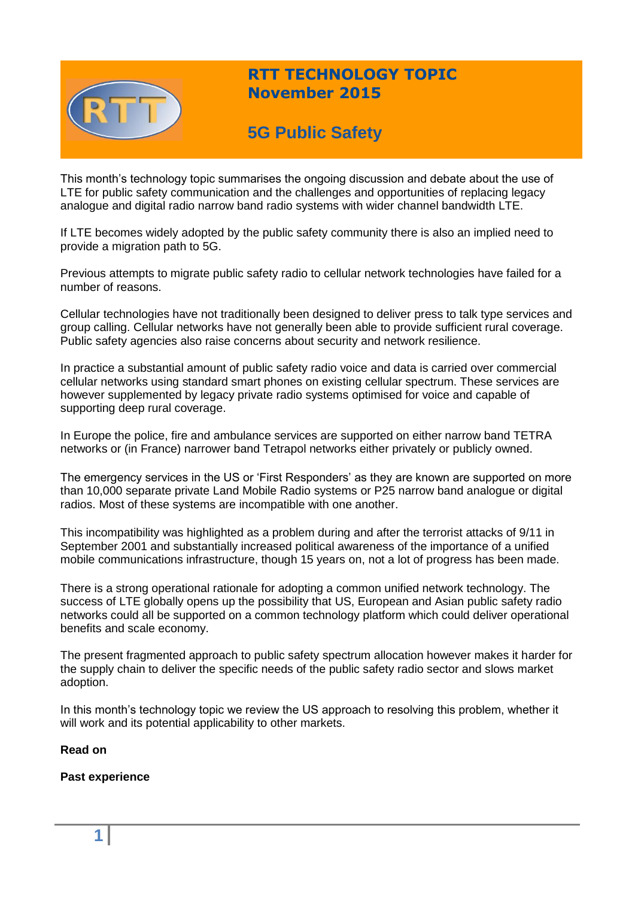

## **RTT TECHNOLOGY TOPIC November 2015**

# **5G Public Safety**

This month's technology topic summarises the ongoing discussion and debate about the use of LTE for public safety communication and the challenges and opportunities of replacing legacy analogue and digital radio narrow band radio systems with wider channel bandwidth LTE.

If LTE becomes widely adopted by the public safety community there is also an implied need to provide a migration path to 5G.

Previous attempts to migrate public safety radio to cellular network technologies have failed for a number of reasons.

Cellular technologies have not traditionally been designed to deliver press to talk type services and group calling. Cellular networks have not generally been able to provide sufficient rural coverage. Public safety agencies also raise concerns about security and network resilience.

In practice a substantial amount of public safety radio voice and data is carried over commercial cellular networks using standard smart phones on existing cellular spectrum. These services are however supplemented by legacy private radio systems optimised for voice and capable of supporting deep rural coverage.

In Europe the police, fire and ambulance services are supported on either narrow band TETRA networks or (in France) narrower band Tetrapol networks either privately or publicly owned.

The emergency services in the US or 'First Responders' as they are known are supported on more than 10,000 separate private Land Mobile Radio systems or P25 narrow band analogue or digital radios. Most of these systems are incompatible with one another.

This incompatibility was highlighted as a problem during and after the terrorist attacks of 9/11 in September 2001 and substantially increased political awareness of the importance of a unified mobile communications infrastructure, though 15 years on, not a lot of progress has been made.

There is a strong operational rationale for adopting a common unified network technology. The success of LTE globally opens up the possibility that US, European and Asian public safety radio networks could all be supported on a common technology platform which could deliver operational benefits and scale economy.

The present fragmented approach to public safety spectrum allocation however makes it harder for the supply chain to deliver the specific needs of the public safety radio sector and slows market adoption.

In this month's technology topic we review the US approach to resolving this problem, whether it will work and its potential applicability to other markets.

## **Read on**

**Past experience**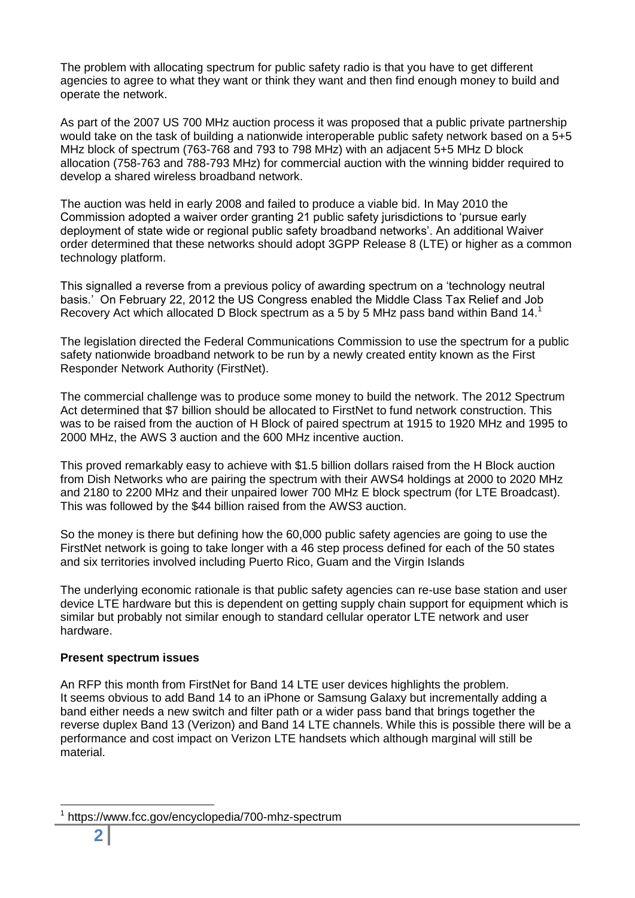The problem with allocating spectrum for public safety radio is that you have to get different agencies to agree to what they want or think they want and then find enough money to build and operate the network.

As part of the 2007 US 700 MHz auction process it was proposed that a public private partnership would take on the task of building a nationwide interoperable public safety network based on a 5+5 MHz block of spectrum (763-768 and 793 to 798 MHz) with an adjacent 5+5 MHz D block allocation (758-763 and 788-793 MHz) for commercial auction with the winning bidder required to develop a shared wireless broadband network.

The auction was held in early 2008 and failed to produce a viable bid. In May 2010 the Commission adopted a waiver order granting 21 public safety jurisdictions to 'pursue early deployment of state wide or regional public safety broadband networks'. An additional Waiver order determined that these networks should adopt 3GPP Release 8 (LTE) or higher as a common technology platform.

This signalled a reverse from a previous policy of awarding spectrum on a 'technology neutral basis.' On February 22, 2012 the US Congress enabled the Middle Class Tax Relief and Job Recovery Act which allocated D Block spectrum as a 5 by 5 MHz pass band within Band 14.<sup>1</sup>

The legislation directed the Federal Communications Commission to use the spectrum for a public safety nationwide broadband network to be run by a newly created entity known as the First Responder Network Authority (FirstNet).

The commercial challenge was to produce some money to build the network. The 2012 Spectrum Act determined that \$7 billion should be allocated to FirstNet to fund network construction. This was to be raised from the auction of H Block of paired spectrum at 1915 to 1920 MHz and 1995 to 2000 MHz, the AWS 3 auction and the 600 MHz incentive auction.

This proved remarkably easy to achieve with \$1.5 billion dollars raised from the H Block auction from Dish Networks who are pairing the spectrum with their AWS4 holdings at 2000 to 2020 MHz and 2180 to 2200 MHz and their unpaired lower 700 MHz E block spectrum (for LTE Broadcast). This was followed by the \$44 billion raised from the AWS3 auction.

So the money is there but defining how the 60,000 public safety agencies are going to use the FirstNet network is going to take longer with a 46 step process defined for each of the 50 states and six territories involved including Puerto Rico, Guam and the Virgin Islands

The underlying economic rationale is that public safety agencies can re-use base station and user device LTE hardware but this is dependent on getting supply chain support for equipment which is similar but probably not similar enough to standard cellular operator LTE network and user hardware.

## **Present spectrum issues**

An RFP this month from FirstNet for Band 14 LTE user devices highlights the problem. It seems obvious to add Band 14 to an iPhone or Samsung Galaxy but incrementally adding a band either needs a new switch and filter path or a wider pass band that brings together the reverse duplex Band 13 (Verizon) and Band 14 LTE channels. While this is possible there will be a performance and cost impact on Verizon LTE handsets which although marginal will still be material.

 $\overline{a}$ 

<sup>1</sup> https://www.fcc.gov/encyclopedia/700-mhz-spectrum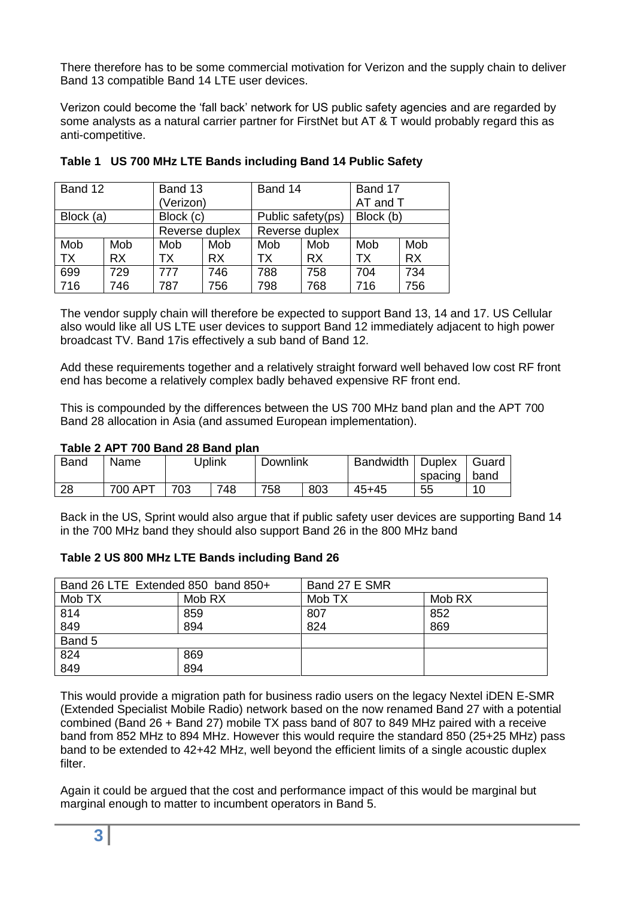There therefore has to be some commercial motivation for Verizon and the supply chain to deliver Band 13 compatible Band 14 LTE user devices.

Verizon could become the 'fall back' network for US public safety agencies and are regarded by some analysts as a natural carrier partner for FirstNet but AT & T would probably regard this as anti-competitive.

| Band 12   |           | Band 13        |           | Band 14        |                   | Band 17  |           |  |
|-----------|-----------|----------------|-----------|----------------|-------------------|----------|-----------|--|
|           |           | (Verizon)      |           |                |                   | AT and T |           |  |
| Block (a) |           |                | Block (c) |                | Public safety(ps) |          | Block (b) |  |
|           |           | Reverse duplex |           | Reverse duplex |                   |          |           |  |
| Mob       | Mob       | Mob            | Mob       | Mob            | Mob               | Mob      | Mob       |  |
| <b>TX</b> | <b>RX</b> | ТX             | <b>RX</b> | ТX             | <b>RX</b>         | TX       | <b>RX</b> |  |
| 699       | 729       | 777            | 746       | 788            | 758               | 704      | 734       |  |
| 716       | 746       | 787            | 756       | 798            | 768               | 716      | 756       |  |

|  | Table 1 US 700 MHz LTE Bands including Band 14 Public Safety |  |  |
|--|--------------------------------------------------------------|--|--|
|--|--------------------------------------------------------------|--|--|

The vendor supply chain will therefore be expected to support Band 13, 14 and 17. US Cellular also would like all US LTE user devices to support Band 12 immediately adjacent to high power broadcast TV. Band 17is effectively a sub band of Band 12.

Add these requirements together and a relatively straight forward well behaved low cost RF front end has become a relatively complex badly behaved expensive RF front end.

This is compounded by the differences between the US 700 MHz band plan and the APT 700 Band 28 allocation in Asia (and assumed European implementation).

#### **Table 2 APT 700 Band 28 Band plan**

| <b>Band</b> | Name    |     | Uplink | <b>Downlink</b> |     | Bandwidth | Duplex    | Guard |
|-------------|---------|-----|--------|-----------------|-----|-----------|-----------|-------|
|             |         |     |        |                 |     |           | spacing l | band  |
| 28          | 700 APT | 703 | 748    | 758             | 803 | $45 + 45$ | 55        | 10    |

Back in the US, Sprint would also argue that if public safety user devices are supporting Band 14 in the 700 MHz band they should also support Band 26 in the 800 MHz band

#### **Table 2 US 800 MHz LTE Bands including Band 26**

| Band 26 LTE Extended 850 band 850+ |        | Band 27 E SMR |        |  |
|------------------------------------|--------|---------------|--------|--|
| Mob TX                             | Mob RX | Mob TX        | Mob RX |  |
| 814                                | 859    | 807           | 852    |  |
| 849                                | 894    | 824           | 869    |  |
| Band 5                             |        |               |        |  |
| 824                                | 869    |               |        |  |
| 849                                | 894    |               |        |  |

This would provide a migration path for business radio users on the legacy Nextel iDEN E-SMR (Extended Specialist Mobile Radio) network based on the now renamed Band 27 with a potential combined (Band 26 + Band 27) mobile TX pass band of 807 to 849 MHz paired with a receive band from 852 MHz to 894 MHz. However this would require the standard 850 (25+25 MHz) pass band to be extended to 42+42 MHz, well beyond the efficient limits of a single acoustic duplex filter.

Again it could be argued that the cost and performance impact of this would be marginal but marginal enough to matter to incumbent operators in Band 5.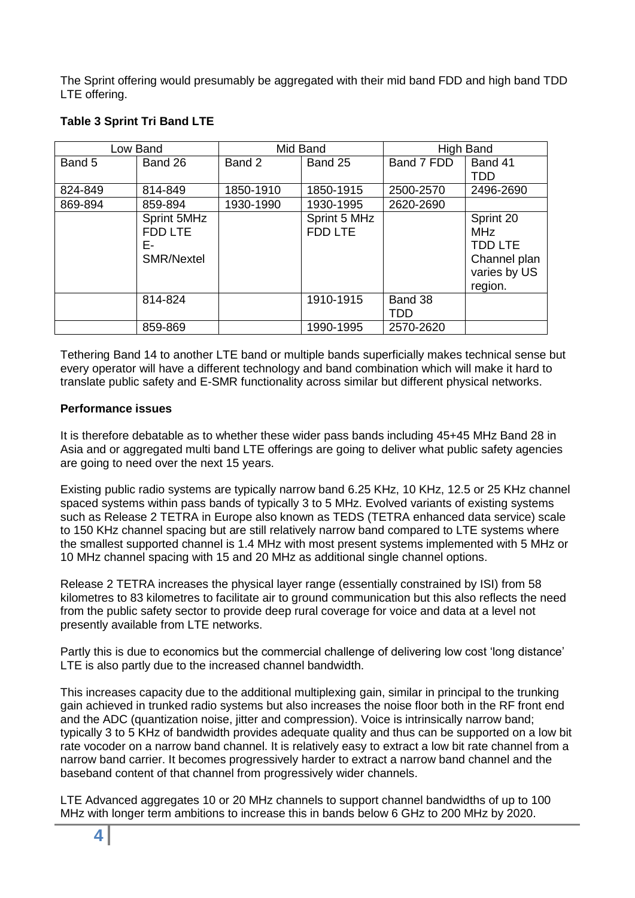The Sprint offering would presumably be aggregated with their mid band FDD and high band TDD LTE offering.

| Low Band |                   | Mid Band  |                | High Band  |                |
|----------|-------------------|-----------|----------------|------------|----------------|
| Band 5   | Band 26           | Band 2    | Band 25        | Band 7 FDD | Band 41        |
|          |                   |           |                |            | TDD            |
| 824-849  | 814-849           | 1850-1910 | 1850-1915      | 2500-2570  | 2496-2690      |
| 869-894  | 859-894           | 1930-1990 | 1930-1995      | 2620-2690  |                |
|          | Sprint 5MHz       |           | Sprint 5 MHz   |            | Sprint 20      |
|          | FDD LTE           |           | <b>FDD LTE</b> |            | <b>MHz</b>     |
|          | Е-                |           |                |            | <b>TDD LTE</b> |
|          | <b>SMR/Nextel</b> |           |                |            | Channel plan   |
|          |                   |           |                |            | varies by US   |
|          |                   |           |                |            | region.        |
|          | 814-824           |           | 1910-1915      | Band 38    |                |
|          |                   |           |                | <b>TDD</b> |                |
|          | 859-869           |           | 1990-1995      | 2570-2620  |                |

## **Table 3 Sprint Tri Band LTE**

Tethering Band 14 to another LTE band or multiple bands superficially makes technical sense but every operator will have a different technology and band combination which will make it hard to translate public safety and E-SMR functionality across similar but different physical networks.

## **Performance issues**

It is therefore debatable as to whether these wider pass bands including 45+45 MHz Band 28 in Asia and or aggregated multi band LTE offerings are going to deliver what public safety agencies are going to need over the next 15 years.

Existing public radio systems are typically narrow band 6.25 KHz, 10 KHz, 12.5 or 25 KHz channel spaced systems within pass bands of typically 3 to 5 MHz. Evolved variants of existing systems such as Release 2 TETRA in Europe also known as TEDS (TETRA enhanced data service) scale to 150 KHz channel spacing but are still relatively narrow band compared to LTE systems where the smallest supported channel is 1.4 MHz with most present systems implemented with 5 MHz or 10 MHz channel spacing with 15 and 20 MHz as additional single channel options.

Release 2 TETRA increases the physical layer range (essentially constrained by ISI) from 58 kilometres to 83 kilometres to facilitate air to ground communication but this also reflects the need from the public safety sector to provide deep rural coverage for voice and data at a level not presently available from LTE networks.

Partly this is due to economics but the commercial challenge of delivering low cost 'long distance' LTE is also partly due to the increased channel bandwidth.

This increases capacity due to the additional multiplexing gain, similar in principal to the trunking gain achieved in trunked radio systems but also increases the noise floor both in the RF front end and the ADC (quantization noise, jitter and compression). Voice is intrinsically narrow band; typically 3 to 5 KHz of bandwidth provides adequate quality and thus can be supported on a low bit rate vocoder on a narrow band channel. It is relatively easy to extract a low bit rate channel from a narrow band carrier. It becomes progressively harder to extract a narrow band channel and the baseband content of that channel from progressively wider channels.

LTE Advanced aggregates 10 or 20 MHz channels to support channel bandwidths of up to 100 MHz with longer term ambitions to increase this in bands below 6 GHz to 200 MHz by 2020.